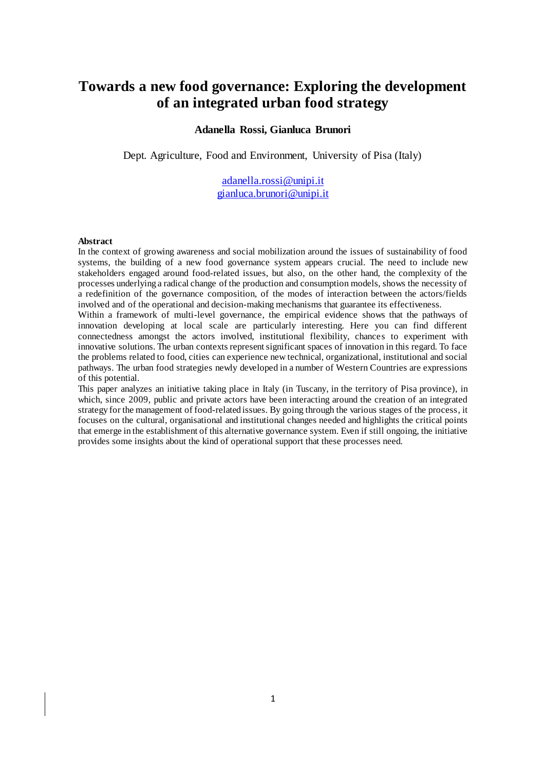# **Towards a new food governance: Exploring the development of an integrated urban food strategy**

#### **Adanella Rossi, Gianluca Brunori**

Dept. Agriculture, Food and Environment, University of Pisa (Italy)

[adanella.rossi@unipi.it](mailto:adanella.rossi@unipi.it) [gianluca.brunori@unipi.it](mailto:gianluca.brunori@unipi.it)

#### **Abstract**

In the context of growing awareness and social mobilization around the issues of sustainability of food systems, the building of a new food governance system appears crucial. The need to include new stakeholders engaged around food-related issues, but also, on the other hand, the complexity of the processes underlying a radical change of the production and consumption models, shows the necessity of a redefinition of the governance composition, of the modes of interaction between the actors/fields involved and of the operational and decision-making mechanisms that guarantee its effectiveness.

Within a framework of multi-level governance, the empirical evidence shows that the pathways of innovation developing at local scale are particularly interesting. Here you can find different connectedness amongst the actors involved, institutional flexibility, chances to experiment with innovative solutions. The urban contexts represent significant spaces of innovation in this regard. To face the problems related to food, cities can experience new technical, organizational, institutional and social pathways. The urban food strategies newly developed in a number of Western Countries are expressions of this potential.

This paper analyzes an initiative taking place in Italy (in Tuscany, in the territory of Pisa province), in which, since 2009, public and private actors have been interacting around the creation of an integrated strategy for the management of food-related issues. By going through the various stages of the process, it focuses on the cultural, organisational and institutional changes needed and highlights the critical points that emerge in the establishment of this alternative governance system. Even if still ongoing, the initiative provides some insights about the kind of operational support that these processes need.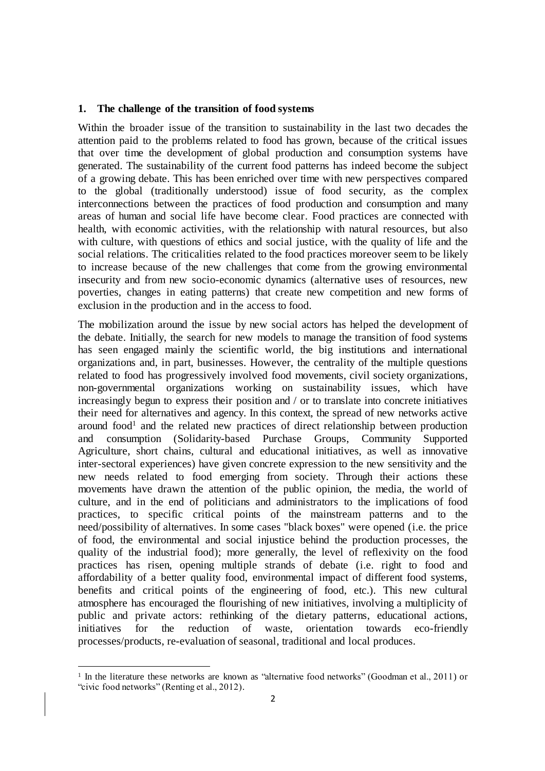#### **1. The challenge of the transition of food systems**

Within the broader issue of the transition to sustainability in the last two decades the attention paid to the problems related to food has grown, because of the critical issues that over time the development of global production and consumption systems have generated. The sustainability of the current food patterns has indeed become the subject of a growing debate. This has been enriched over time with new perspectives compared to the global (traditionally understood) issue of food security, as the complex interconnections between the practices of food production and consumption and many areas of human and social life have become clear. Food practices are connected with health, with economic activities, with the relationship with natural resources, but also with culture, with questions of ethics and social justice, with the quality of life and the social relations. The criticalities related to the food practices moreover seem to be likely to increase because of the new challenges that come from the growing environmental insecurity and from new socio-economic dynamics (alternative uses of resources, new poverties, changes in eating patterns) that create new competition and new forms of exclusion in the production and in the access to food.

The mobilization around the issue by new social actors has helped the development of the debate. Initially, the search for new models to manage the transition of food systems has seen engaged mainly the scientific world, the big institutions and international organizations and, in part, businesses. However, the centrality of the multiple questions related to food has progressively involved food movements, civil society organizations, non-governmental organizations working on sustainability issues, which have increasingly begun to express their position and / or to translate into concrete initiatives their need for alternatives and agency. In this context, the spread of new networks active around food<sup>1</sup> and the related new practices of direct relationship between production and consumption (Solidarity-based Purchase Groups, Community Supported Agriculture, short chains, cultural and educational initiatives, as well as innovative inter-sectoral experiences) have given concrete expression to the new sensitivity and the new needs related to food emerging from society. Through their actions these movements have drawn the attention of the public opinion, the media, the world of culture, and in the end of politicians and administrators to the implications of food practices, to specific critical points of the mainstream patterns and to the need/possibility of alternatives. In some cases "black boxes" were opened (i.e. the price of food, the environmental and social injustice behind the production processes, the quality of the industrial food); more generally, the level of reflexivity on the food practices has risen, opening multiple strands of debate (i.e. right to food and affordability of a better quality food, environmental impact of different food systems, benefits and critical points of the engineering of food, etc.). This new cultural atmosphere has encouraged the flourishing of new initiatives, involving a multiplicity of public and private actors: rethinking of the dietary patterns, educational actions, initiatives for the reduction of waste, orientation towards eco-friendly processes/products, re-evaluation of seasonal, traditional and local produces.

 $\overline{a}$ 

<sup>&</sup>lt;sup>1</sup> In the literature these networks are known as "alternative food networks" (Goodman et al., 2011) or "civic food networks" (Renting et al., 2012).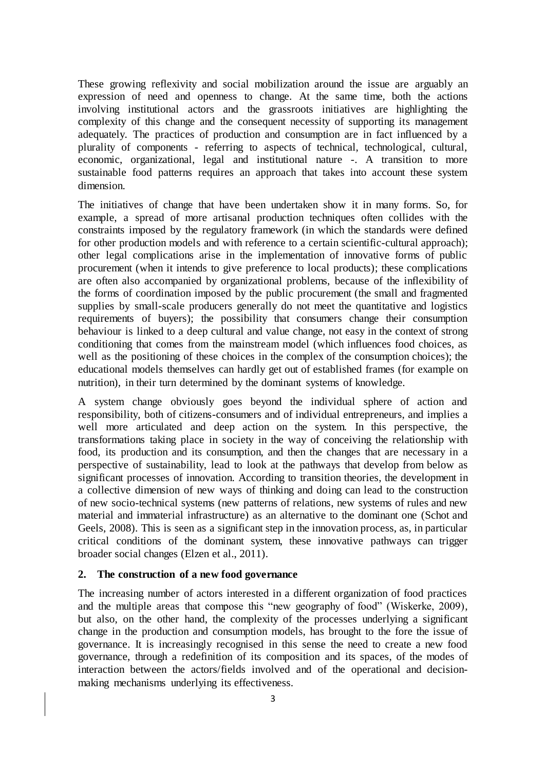These growing reflexivity and social mobilization around the issue are arguably an expression of need and openness to change. At the same time, both the actions involving institutional actors and the grassroots initiatives are highlighting the complexity of this change and the consequent necessity of supporting its management adequately. The practices of production and consumption are in fact influenced by a plurality of components - referring to aspects of technical, technological, cultural, economic, organizational, legal and institutional nature -. A transition to more sustainable food patterns requires an approach that takes into account these system dimension.

The initiatives of change that have been undertaken show it in many forms. So, for example, a spread of more artisanal production techniques often collides with the constraints imposed by the regulatory framework (in which the standards were defined for other production models and with reference to a certain scientific-cultural approach); other legal complications arise in the implementation of innovative forms of public procurement (when it intends to give preference to local products); these complications are often also accompanied by organizational problems, because of the inflexibility of the forms of coordination imposed by the public procurement (the small and fragmented supplies by small-scale producers generally do not meet the quantitative and logistics requirements of buyers); the possibility that consumers change their consumption behaviour is linked to a deep cultural and value change, not easy in the context of strong conditioning that comes from the mainstream model (which influences food choices, as well as the positioning of these choices in the complex of the consumption choices); the educational models themselves can hardly get out of established frames (for example on nutrition), in their turn determined by the dominant systems of knowledge.

A system change obviously goes beyond the individual sphere of action and responsibility, both of citizens-consumers and of individual entrepreneurs, and implies a well more articulated and deep action on the system. In this perspective, the transformations taking place in society in the way of conceiving the relationship with food, its production and its consumption, and then the changes that are necessary in a perspective of sustainability, lead to look at the pathways that develop from below as significant processes of innovation. According to transition theories, the development in a collective dimension of new ways of thinking and doing can lead to the construction of new socio-technical systems (new patterns of relations, new systems of rules and new material and immaterial infrastructure) as an alternative to the dominant one (Schot and Geels, 2008). This is seen as a significant step in the innovation process, as, in particular critical conditions of the dominant system, these innovative pathways can trigger broader social changes (Elzen et al., 2011).

#### **2. The construction of a new food governance**

The increasing number of actors interested in a different organization of food practices and the multiple areas that compose this "new geography of food" (Wiskerke, 2009), but also, on the other hand, the complexity of the processes underlying a significant change in the production and consumption models, has brought to the fore the issue of governance. It is increasingly recognised in this sense the need to create a new food governance, through a redefinition of its composition and its spaces, of the modes of interaction between the actors/fields involved and of the operational and decisionmaking mechanisms underlying its effectiveness.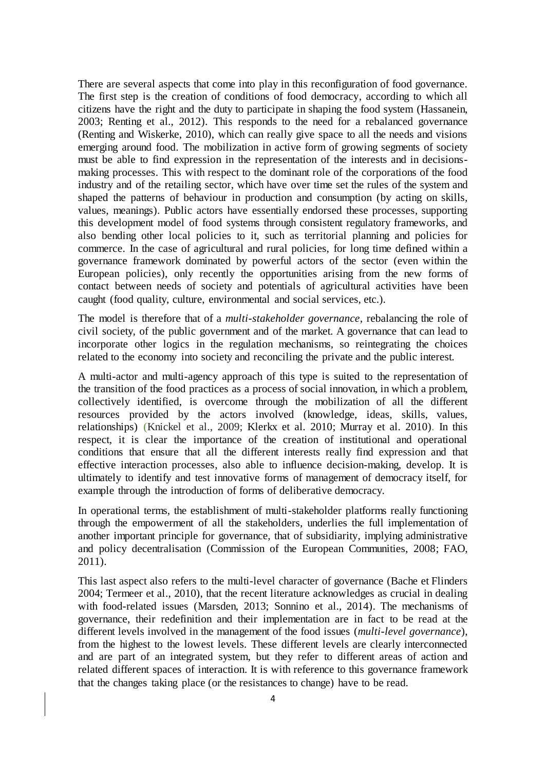There are several aspects that come into play in this reconfiguration of food governance. The first step is the creation of conditions of food democracy, according to which all citizens have the right and the duty to participate in shaping the food system (Hassanein, 2003; Renting et al., 2012). This responds to the need for a rebalanced governance (Renting and Wiskerke, 2010), which can really give space to all the needs and visions emerging around food. The mobilization in active form of growing segments of society must be able to find expression in the representation of the interests and in decisionsmaking processes. This with respect to the dominant role of the corporations of the food industry and of the retailing sector, which have over time set the rules of the system and shaped the patterns of behaviour in production and consumption (by acting on skills, values, meanings). Public actors have essentially endorsed these processes, supporting this development model of food systems through consistent regulatory frameworks, and also bending other local policies to it, such as territorial planning and policies for commerce. In the case of agricultural and rural policies, for long time defined within a governance framework dominated by powerful actors of the sector (even within the European policies), only recently the opportunities arising from the new forms of contact between needs of society and potentials of agricultural activities have been caught (food quality, culture, environmental and social services, etc.).

The model is therefore that of a *multi-stakeholder governance*, rebalancing the role of civil society, of the public government and of the market. A governance that can lead to incorporate other logics in the regulation mechanisms, so reintegrating the choices related to the economy into society and reconciling the private and the public interest.

A multi-actor and multi-agency approach of this type is suited to the representation of the transition of the food practices as a process of social innovation, in which a problem, collectively identified, is overcome through the mobilization of all the different resources provided by the actors involved (knowledge, ideas, skills, values, relationships) (Knickel et al., 2009; Klerkx et al. 2010; Murray et al. 2010). In this respect, it is clear the importance of the creation of institutional and operational conditions that ensure that all the different interests really find expression and that effective interaction processes, also able to influence decision-making, develop. It is ultimately to identify and test innovative forms of management of democracy itself, for example through the introduction of forms of deliberative democracy.

In operational terms, the establishment of multi-stakeholder platforms really functioning through the empowerment of all the stakeholders, underlies the full implementation of another important principle for governance, that of subsidiarity, implying administrative and policy decentralisation (Commission of the European Communities, 2008; FAO, 2011).

This last aspect also refers to the multi-level character of governance (Bache et Flinders 2004; Termeer et al., 2010), that the recent literature acknowledges as crucial in dealing with food-related issues (Marsden, 2013; Sonnino et al., 2014). The mechanisms of governance, their redefinition and their implementation are in fact to be read at the different levels involved in the management of the food issues (*multi-level governance*), from the highest to the lowest levels. These different levels are clearly interconnected and are part of an integrated system, but they refer to different areas of action and related different spaces of interaction. It is with reference to this governance framework that the changes taking place (or the resistances to change) have to be read.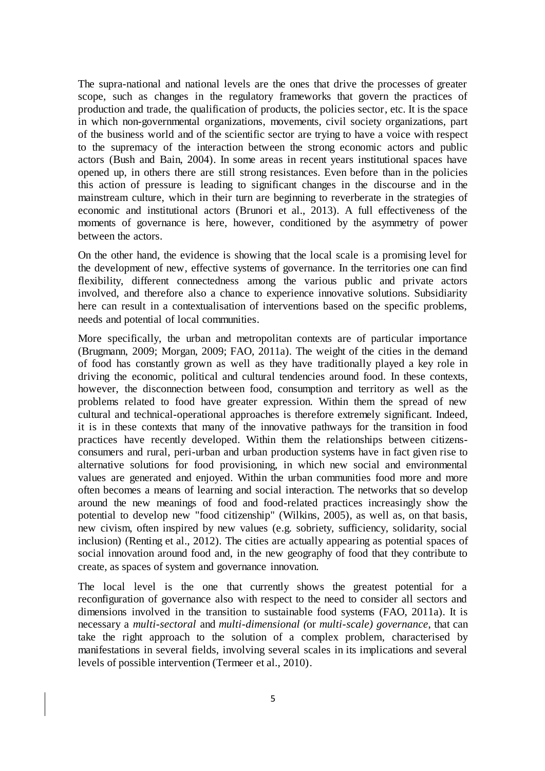The supra-national and national levels are the ones that drive the processes of greater scope, such as changes in the regulatory frameworks that govern the practices of production and trade, the qualification of products, the policies sector, etc. It is the space in which non-governmental organizations, movements, civil society organizations, part of the business world and of the scientific sector are trying to have a voice with respect to the supremacy of the interaction between the strong economic actors and public actors (Bush and Bain, 2004). In some areas in recent years institutional spaces have opened up, in others there are still strong resistances. Even before than in the policies this action of pressure is leading to significant changes in the discourse and in the mainstream culture, which in their turn are beginning to reverberate in the strategies of economic and institutional actors (Brunori et al., 2013). A full effectiveness of the moments of governance is here, however, conditioned by the asymmetry of power between the actors.

On the other hand, the evidence is showing that the local scale is a promising level for the development of new, effective systems of governance. In the territories one can find flexibility, different connectedness among the various public and private actors involved, and therefore also a chance to experience innovative solutions. Subsidiarity here can result in a contextualisation of interventions based on the specific problems, needs and potential of local communities.

More specifically, the urban and metropolitan contexts are of particular importance (Brugmann, 2009; Morgan, 2009; FAO, 2011a). The weight of the cities in the demand of food has constantly grown as well as they have traditionally played a key role in driving the economic, political and cultural tendencies around food. In these contexts, however, the disconnection between food, consumption and territory as well as the problems related to food have greater expression. Within them the spread of new cultural and technical-operational approaches is therefore extremely significant. Indeed, it is in these contexts that many of the innovative pathways for the transition in food practices have recently developed. Within them the relationships between citizensconsumers and rural, peri-urban and urban production systems have in fact given rise to alternative solutions for food provisioning, in which new social and environmental values are generated and enjoyed. Within the urban communities food more and more often becomes a means of learning and social interaction. The networks that so develop around the new meanings of food and food-related practices increasingly show the potential to develop new "food citizenship" (Wilkins, 2005), as well as, on that basis, new civism, often inspired by new values (e.g. sobriety, sufficiency, solidarity, social inclusion) (Renting et al., 2012). The cities are actually appearing as potential spaces of social innovation around food and, in the new geography of food that they contribute to create, as spaces of system and governance innovation.

The local level is the one that currently shows the greatest potential for a reconfiguration of governance also with respect to the need to consider all sectors and dimensions involved in the transition to sustainable food systems (FAO, 2011a). It is necessary a *multi-sectoral* and *multi-dimensional (*or *multi-scale) governance*, that can take the right approach to the solution of a complex problem, characterised by manifestations in several fields, involving several scales in its implications and several levels of possible intervention (Termeer et al., 2010).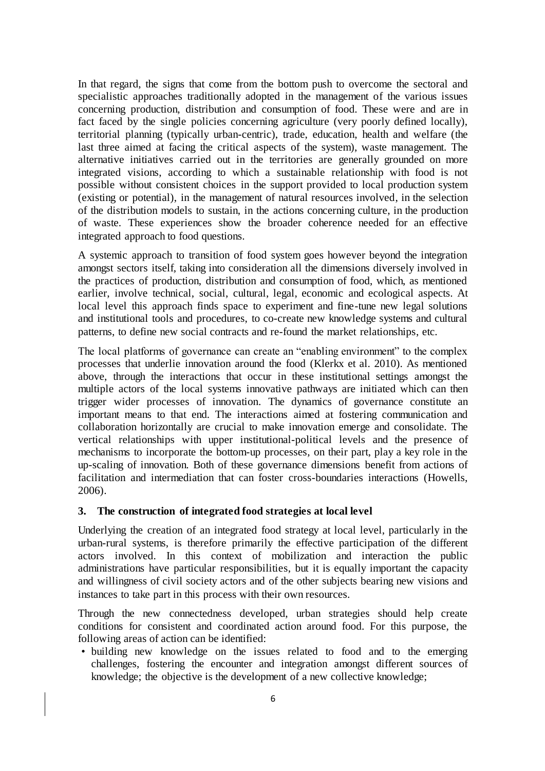In that regard, the signs that come from the bottom push to overcome the sectoral and specialistic approaches traditionally adopted in the management of the various issues concerning production, distribution and consumption of food. These were and are in fact faced by the single policies concerning agriculture (very poorly defined locally), territorial planning (typically urban-centric), trade, education, health and welfare (the last three aimed at facing the critical aspects of the system), waste management. The alternative initiatives carried out in the territories are generally grounded on more integrated visions, according to which a sustainable relationship with food is not possible without consistent choices in the support provided to local production system (existing or potential), in the management of natural resources involved, in the selection of the distribution models to sustain, in the actions concerning culture, in the production of waste. These experiences show the broader coherence needed for an effective integrated approach to food questions.

A systemic approach to transition of food system goes however beyond the integration amongst sectors itself, taking into consideration all the dimensions diversely involved in the practices of production, distribution and consumption of food, which, as mentioned earlier, involve technical, social, cultural, legal, economic and ecological aspects. At local level this approach finds space to experiment and fine-tune new legal solutions and institutional tools and procedures, to co-create new knowledge systems and cultural patterns, to define new social contracts and re-found the market relationships, etc.

The local platforms of governance can create an "enabling environment" to the complex processes that underlie innovation around the food (Klerkx et al. 2010). As mentioned above, through the interactions that occur in these institutional settings amongst the multiple actors of the local systems innovative pathways are initiated which can then trigger wider processes of innovation. The dynamics of governance constitute an important means to that end. The interactions aimed at fostering communication and collaboration horizontally are crucial to make innovation emerge and consolidate. The vertical relationships with upper institutional-political levels and the presence of mechanisms to incorporate the bottom-up processes, on their part, play a key role in the up-scaling of innovation. Both of these governance dimensions benefit from actions of facilitation and intermediation that can foster cross-boundaries interactions (Howells, 2006).

# **3. The construction of integrated food strategies at local level**

Underlying the creation of an integrated food strategy at local level, particularly in the urban-rural systems, is therefore primarily the effective participation of the different actors involved. In this context of mobilization and interaction the public administrations have particular responsibilities, but it is equally important the capacity and willingness of civil society actors and of the other subjects bearing new visions and instances to take part in this process with their own resources.

Through the new connectedness developed, urban strategies should help create conditions for consistent and coordinated action around food. For this purpose, the following areas of action can be identified:

• building new knowledge on the issues related to food and to the emerging challenges, fostering the encounter and integration amongst different sources of knowledge; the objective is the development of a new collective knowledge;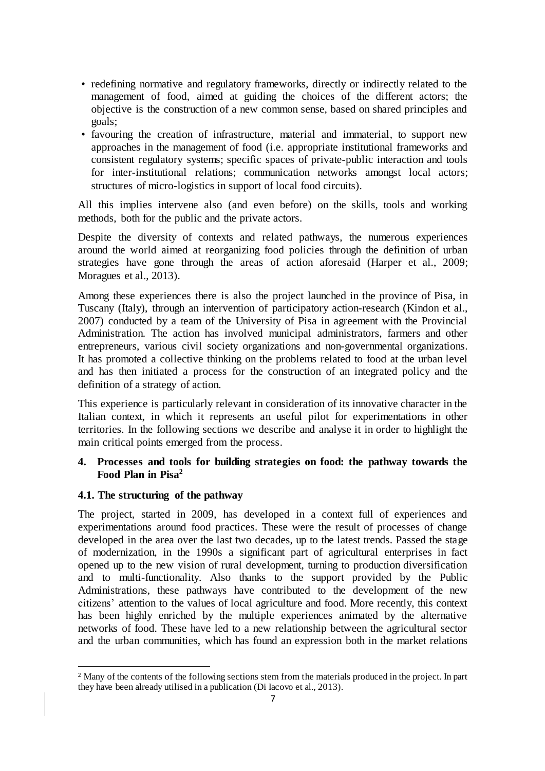- redefining normative and regulatory frameworks, directly or indirectly related to the management of food, aimed at guiding the choices of the different actors; the objective is the construction of a new common sense, based on shared principles and goals;
- favouring the creation of infrastructure, material and immaterial, to support new approaches in the management of food (i.e. appropriate institutional frameworks and consistent regulatory systems; specific spaces of private-public interaction and tools for inter-institutional relations; communication networks amongst local actors; structures of micro-logistics in support of local food circuits).

All this implies intervene also (and even before) on the skills, tools and working methods, both for the public and the private actors.

Despite the diversity of contexts and related pathways, the numerous experiences around the world aimed at reorganizing food policies through the definition of urban strategies have gone through the areas of action aforesaid (Harper et al., 2009; Moragues et al., 2013).

Among these experiences there is also the project launched in the province of Pisa, in Tuscany (Italy), through an intervention of participatory action-research (Kindon et al., 2007) conducted by a team of the University of Pisa in agreement with the Provincial Administration. The action has involved municipal administrators, farmers and other entrepreneurs, various civil society organizations and non-governmental organizations. It has promoted a collective thinking on the problems related to food at the urban level and has then initiated a process for the construction of an integrated policy and the definition of a strategy of action.

This experience is particularly relevant in consideration of its innovative character in the Italian context, in which it represents an useful pilot for experimentations in other territories. In the following sections we describe and analyse it in order to highlight the main critical points emerged from the process.

# **4. Processes and tools for building strategies on food: the pathway towards the Food Plan in Pisa<sup>2</sup>**

# **4.1. The structuring of the pathway**

 $\overline{a}$ 

The project, started in 2009, has developed in a context full of experiences and experimentations around food practices. These were the result of processes of change developed in the area over the last two decades, up to the latest trends. Passed the stage of modernization, in the 1990s a significant part of agricultural enterprises in fact opened up to the new vision of rural development, turning to production diversification and to multi-functionality. Also thanks to the support provided by the Public Administrations, these pathways have contributed to the development of the new citizens' attention to the values of local agriculture and food. More recently, this context has been highly enriched by the multiple experiences animated by the alternative networks of food. These have led to a new relationship between the agricultural sector and the urban communities, which has found an expression both in the market relations

<sup>2</sup> Many of the contents of the following sections stem from the materials produced in the project. In part they have been already utilised in a publication (Di Iacovo et al., 2013).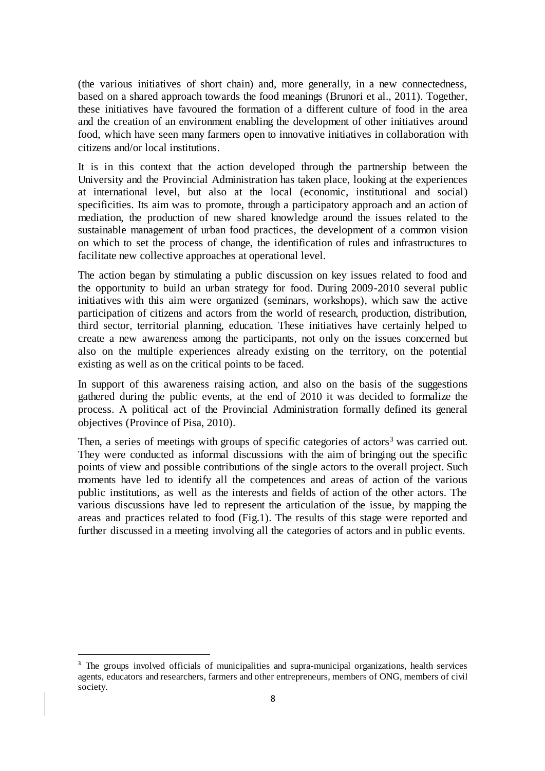(the various initiatives of short chain) and, more generally, in a new connectedness, based on a shared approach towards the food meanings (Brunori et al., 2011). Together, these initiatives have favoured the formation of a different culture of food in the area and the creation of an environment enabling the development of other initiatives around food, which have seen many farmers open to innovative initiatives in collaboration with citizens and/or local institutions.

It is in this context that the action developed through the partnership between the University and the Provincial Administration has taken place, looking at the experiences at international level, but also at the local (economic, institutional and social) specificities. Its aim was to promote, through a participatory approach and an action of mediation, the production of new shared knowledge around the issues related to the sustainable management of urban food practices, the development of a common vision on which to set the process of change, the identification of rules and infrastructures to facilitate new collective approaches at operational level.

The action began by stimulating a public discussion on key issues related to food and the opportunity to build an urban strategy for food. During 2009-2010 several public initiatives with this aim were organized (seminars, workshops), which saw the active participation of citizens and actors from the world of research, production, distribution, third sector, territorial planning, education. These initiatives have certainly helped to create a new awareness among the participants, not only on the issues concerned but also on the multiple experiences already existing on the territory, on the potential existing as well as on the critical points to be faced.

In support of this awareness raising action, and also on the basis of the suggestions gathered during the public events, at the end of 2010 it was decided to formalize the process. A political act of the Provincial Administration formally defined its general objectives (Province of Pisa, 2010).

Then, a series of meetings with groups of specific categories of actors<sup>3</sup> was carried out. They were conducted as informal discussions with the aim of bringing out the specific points of view and possible contributions of the single actors to the overall project. Such moments have led to identify all the competences and areas of action of the various public institutions, as well as the interests and fields of action of the other actors. The various discussions have led to represent the articulation of the issue, by mapping the areas and practices related to food (Fig.1). The results of this stage were reported and further discussed in a meeting involving all the categories of actors and in public events.

j

<sup>&</sup>lt;sup>3</sup> The groups involved officials of municipalities and supra-municipal organizations, health services agents, educators and researchers, farmers and other entrepreneurs, members of ONG, members of civil society.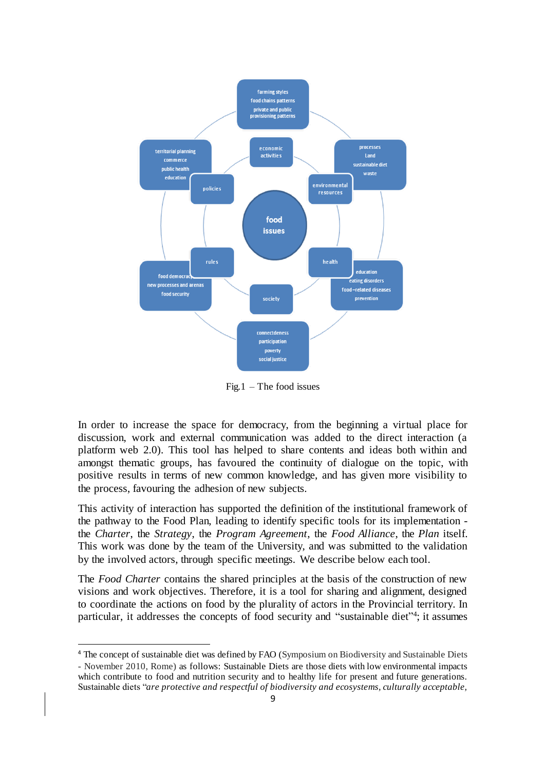

 $Fig.1 - The food issues$ 

In order to increase the space for democracy, from the beginning a virtual place for discussion, work and external communication was added to the direct interaction (a platform web 2.0). This tool has helped to share contents and ideas both within and amongst thematic groups, has favoured the continuity of dialogue on the topic, with positive results in terms of new common knowledge, and has given more visibility to the process, favouring the adhesion of new subjects.

This activity of interaction has supported the definition of the institutional framework of the pathway to the Food Plan, leading to identify specific tools for its implementation the *Charter*, the *Strategy*, the *Program Agreement*, the *Food Alliance*, the *Plan* itself. This work was done by the team of the University, and was submitted to the validation by the involved actors, through specific meetings. We describe below each tool.

The *Food Charter* contains the shared principles at the basis of the construction of new visions and work objectives. Therefore, it is a tool for sharing and alignment, designed to coordinate the actions on food by the plurality of actors in the Provincial territory. In particular, it addresses the concepts of food security and "sustainable diet"<sup>4</sup>; it assumes

 $\overline{a}$ 

<sup>4</sup> The concept of sustainable diet was defined by FAO (Symposium on Biodiversity and Sustainable Diets - November 2010, Rome) as follows: Sustainable Diets are those diets with low environmental impacts which contribute to food and nutrition security and to healthy life for present and future generations. Sustainable diets "*are protective and respectful of biodiversity and ecosystems, culturally acceptable,*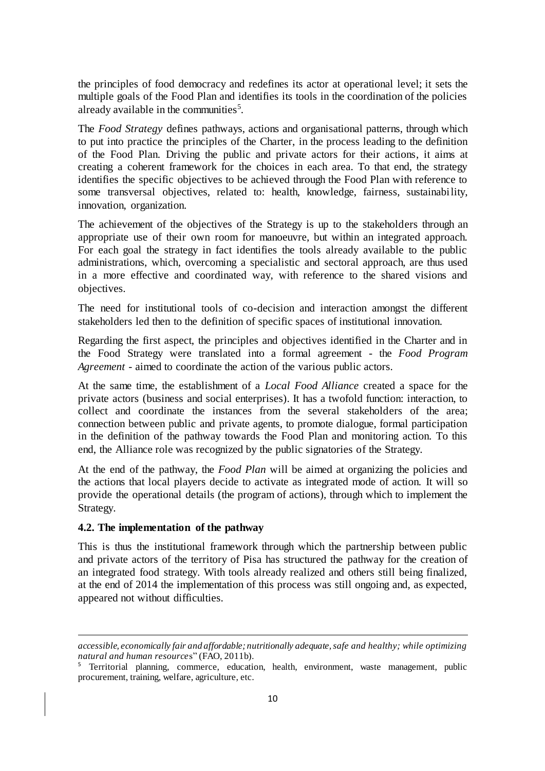the principles of food democracy and redefines its actor at operational level; it sets the multiple goals of the Food Plan and identifies its tools in the coordination of the policies already available in the communities<sup>5</sup>.

The *Food Strategy* defines pathways, actions and organisational patterns, through which to put into practice the principles of the Charter, in the process leading to the definition of the Food Plan. Driving the public and private actors for their actions, it aims at creating a coherent framework for the choices in each area. To that end, the strategy identifies the specific objectives to be achieved through the Food Plan with reference to some transversal objectives, related to: health, knowledge, fairness, sustainability, innovation, organization.

The achievement of the objectives of the Strategy is up to the stakeholders through an appropriate use of their own room for manoeuvre, but within an integrated approach. For each goal the strategy in fact identifies the tools already available to the public administrations, which, overcoming a specialistic and sectoral approach, are thus used in a more effective and coordinated way, with reference to the shared visions and objectives.

The need for institutional tools of co-decision and interaction amongst the different stakeholders led then to the definition of specific spaces of institutional innovation.

Regarding the first aspect, the principles and objectives identified in the Charter and in the Food Strategy were translated into a formal agreement - the *Food Program Agreement* - aimed to coordinate the action of the various public actors.

At the same time, the establishment of a *Local Food Alliance* created a space for the private actors (business and social enterprises). It has a twofold function: interaction, to collect and coordinate the instances from the several stakeholders of the area; connection between public and private agents, to promote dialogue, formal participation in the definition of the pathway towards the Food Plan and monitoring action. To this end, the Alliance role was recognized by the public signatories of the Strategy.

At the end of the pathway, the *Food Plan* will be aimed at organizing the policies and the actions that local players decide to activate as integrated mode of action. It will so provide the operational details (the program of actions), through which to implement the Strategy.

#### **4.2. The implementation of the pathway**

 $\overline{a}$ 

This is thus the institutional framework through which the partnership between public and private actors of the territory of Pisa has structured the pathway for the creation of an integrated food strategy. With tools already realized and others still being finalized, at the end of 2014 the implementation of this process was still ongoing and, as expected, appeared not without difficulties.

*accessible, economically fair and affordable; nutritionally adequate, safe and healthy; while optimizing natural and human resource*s" (FAO, 2011b).

<sup>&</sup>lt;sup>5</sup> Territorial planning, commerce, education, health, environment, waste management, public procurement, training, welfare, agriculture, etc.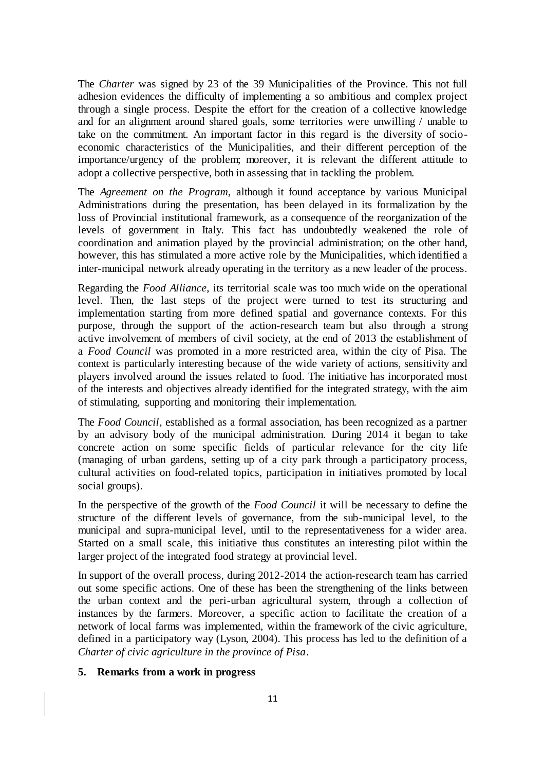The *Charter* was signed by 23 of the 39 Municipalities of the Province. This not full adhesion evidences the difficulty of implementing a so ambitious and complex project through a single process. Despite the effort for the creation of a collective knowledge and for an alignment around shared goals, some territories were unwilling / unable to take on the commitment. An important factor in this regard is the diversity of socioeconomic characteristics of the Municipalities, and their different perception of the importance/urgency of the problem; moreover, it is relevant the different attitude to adopt a collective perspective, both in assessing that in tackling the problem.

The *Agreement on the Program*, although it found acceptance by various Municipal Administrations during the presentation, has been delayed in its formalization by the loss of Provincial institutional framework, as a consequence of the reorganization of the levels of government in Italy. This fact has undoubtedly weakened the role of coordination and animation played by the provincial administration; on the other hand, however, this has stimulated a more active role by the Municipalities, which identified a inter-municipal network already operating in the territory as a new leader of the process.

Regarding the *Food Alliance*, its territorial scale was too much wide on the operational level. Then, the last steps of the project were turned to test its structuring and implementation starting from more defined spatial and governance contexts. For this purpose, through the support of the action-research team but also through a strong active involvement of members of civil society, at the end of 2013 the establishment of a *Food Council* was promoted in a more restricted area, within the city of Pisa. The context is particularly interesting because of the wide variety of actions, sensitivity and players involved around the issues related to food. The initiative has incorporated most of the interests and objectives already identified for the integrated strategy, with the aim of stimulating, supporting and monitoring their implementation.

The *Food Council*, established as a formal association, has been recognized as a partner by an advisory body of the municipal administration. During 2014 it began to take concrete action on some specific fields of particular relevance for the city life (managing of urban gardens, setting up of a city park through a participatory process, cultural activities on food-related topics, participation in initiatives promoted by local social groups).

In the perspective of the growth of the *Food Council* it will be necessary to define the structure of the different levels of governance, from the sub-municipal level, to the municipal and supra-municipal level, until to the representativeness for a wider area. Started on a small scale, this initiative thus constitutes an interesting pilot within the larger project of the integrated food strategy at provincial level.

In support of the overall process, during 2012-2014 the action-research team has carried out some specific actions. One of these has been the strengthening of the links between the urban context and the peri-urban agricultural system, through a collection of instances by the farmers. Moreover, a specific action to facilitate the creation of a network of local farms was implemented, within the framework of the civic agriculture, defined in a participatory way (Lyson, 2004). This process has led to the definition of a *Charter of civic agriculture in the province of Pisa*.

# **5. Remarks from a work in progress**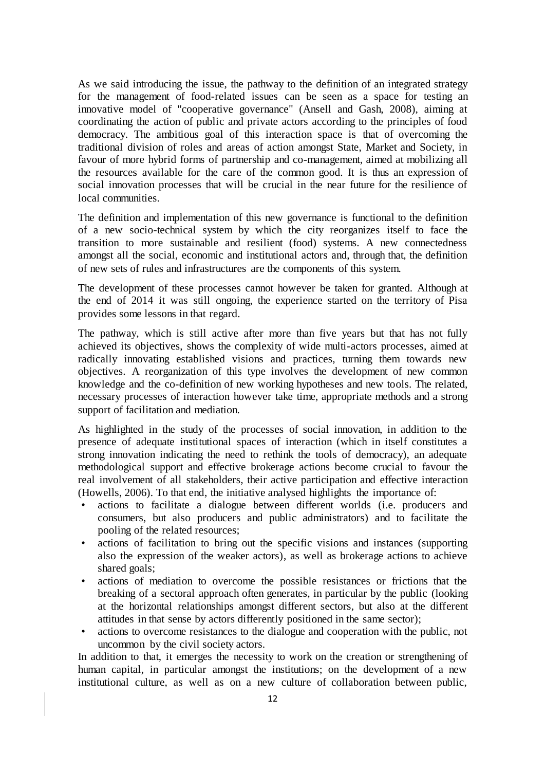As we said introducing the issue, the pathway to the definition of an integrated strategy for the management of food-related issues can be seen as a space for testing an innovative model of "cooperative governance" (Ansell and Gash, 2008), aiming at coordinating the action of public and private actors according to the principles of food democracy. The ambitious goal of this interaction space is that of overcoming the traditional division of roles and areas of action amongst State, Market and Society, in favour of more hybrid forms of partnership and co-management, aimed at mobilizing all the resources available for the care of the common good. It is thus an expression of social innovation processes that will be crucial in the near future for the resilience of local communities.

The definition and implementation of this new governance is functional to the definition of a new socio-technical system by which the city reorganizes itself to face the transition to more sustainable and resilient (food) systems. A new connectedness amongst all the social, economic and institutional actors and, through that, the definition of new sets of rules and infrastructures are the components of this system.

The development of these processes cannot however be taken for granted. Although at the end of 2014 it was still ongoing, the experience started on the territory of Pisa provides some lessons in that regard.

The pathway, which is still active after more than five years but that has not fully achieved its objectives, shows the complexity of wide multi-actors processes, aimed at radically innovating established visions and practices, turning them towards new objectives. A reorganization of this type involves the development of new common knowledge and the co-definition of new working hypotheses and new tools. The related, necessary processes of interaction however take time, appropriate methods and a strong support of facilitation and mediation.

As highlighted in the study of the processes of social innovation, in addition to the presence of adequate institutional spaces of interaction (which in itself constitutes a strong innovation indicating the need to rethink the tools of democracy), an adequate methodological support and effective brokerage actions become crucial to favour the real involvement of all stakeholders, their active participation and effective interaction (Howells, 2006). To that end, the initiative analysed highlights the importance of:

- actions to facilitate a dialogue between different worlds (i.e. producers and consumers, but also producers and public administrators) and to facilitate the pooling of the related resources;
- actions of facilitation to bring out the specific visions and instances (supporting also the expression of the weaker actors), as well as brokerage actions to achieve shared goals;
- actions of mediation to overcome the possible resistances or frictions that the breaking of a sectoral approach often generates, in particular by the public (looking at the horizontal relationships amongst different sectors, but also at the different attitudes in that sense by actors differently positioned in the same sector);
- actions to overcome resistances to the dialogue and cooperation with the public, not uncommon by the civil society actors.

In addition to that, it emerges the necessity to work on the creation or strengthening of human capital, in particular amongst the institutions; on the development of a new institutional culture, as well as on a new culture of collaboration between public,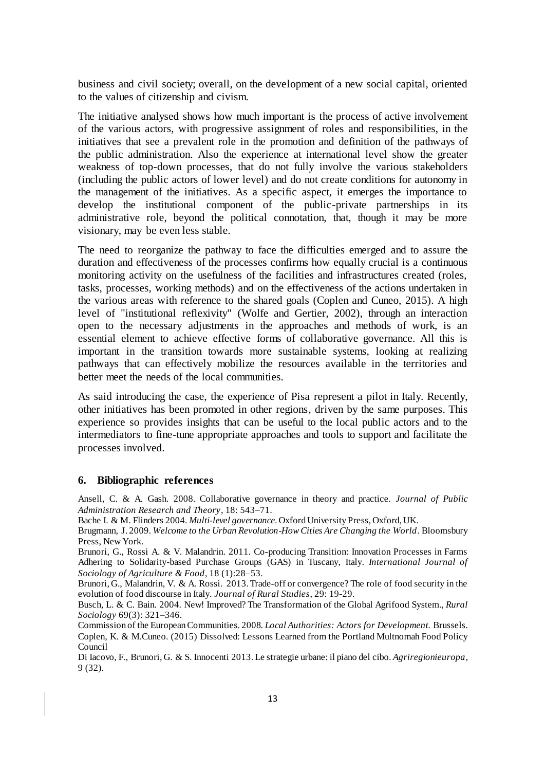business and civil society; overall, on the development of a new social capital, oriented to the values of citizenship and civism.

The initiative analysed shows how much important is the process of active involvement of the various actors, with progressive assignment of roles and responsibilities, in the initiatives that see a prevalent role in the promotion and definition of the pathways of the public administration. Also the experience at international level show the greater weakness of top-down processes, that do not fully involve the various stakeholders (including the public actors of lower level) and do not create conditions for autonomy in the management of the initiatives. As a specific aspect, it emerges the importance to develop the institutional component of the public-private partnerships in its administrative role, beyond the political connotation, that, though it may be more visionary, may be even less stable.

The need to reorganize the pathway to face the difficulties emerged and to assure the duration and effectiveness of the processes confirms how equally crucial is a continuous monitoring activity on the usefulness of the facilities and infrastructures created (roles, tasks, processes, working methods) and on the effectiveness of the actions undertaken in the various areas with reference to the shared goals (Coplen and Cuneo, 2015). A high level of "institutional reflexivity" (Wolfe and Gertier, 2002), through an interaction open to the necessary adjustments in the approaches and methods of work, is an essential element to achieve effective forms of collaborative governance. All this is important in the transition towards more sustainable systems, looking at realizing pathways that can effectively mobilize the resources available in the territories and better meet the needs of the local communities.

As said introducing the case, the experience of Pisa represent a pilot in Italy. Recently, other initiatives has been promoted in other regions, driven by the same purposes. This experience so provides insights that can be useful to the local public actors and to the intermediators to fine-tune appropriate approaches and tools to support and facilitate the processes involved.

#### **6. Bibliographic references**

Ansell, C. & A. Gash. 2008. Collaborative governance in theory and practice. *Journal of Public Administration Research and Theory*, 18: 543–71.

Bache I. & M. Flinders 2004. *Multi-level governance*. Oxford University Press, Oxford, UK.

Brugmann, J. 2009. *Welcome to the Urban Revolution-How Cities Are Changing the World*. Bloomsbury Press, New York.

Brunori, G., Rossi A. & V. Malandrin. 2011. Co-producing Transition: Innovation Processes in Farms Adhering to Solidarity-based Purchase Groups (GAS) in Tuscany, Italy. *International Journal of Sociology of Agriculture & Food*, 18 (1):28–53.

Brunori, G., Malandrin, V. & A. Rossi. 2013. Trade-off or convergence? The role of food security in the evolution of food discourse in Italy. *Journal of Rural Studies*, 29: 19-29.

Busch, L. & C. Bain. 2004. New! Improved? The Transformation of the Global Agrifood System., *Rural Sociology* 69(3): 321–346.

Commission of the European Communities. 2008. *Local Authorities: Actors for Development.* Brussels. Coplen, K. & M.Cuneo. (2015) Dissolved: Lessons Learned from the Portland Multnomah Food Policy Council

Di Iacovo, F., Brunori, G. & S. Innocenti 2013. Le strategie urbane: il piano del cibo. *Agriregionieuropa*, 9 (32).